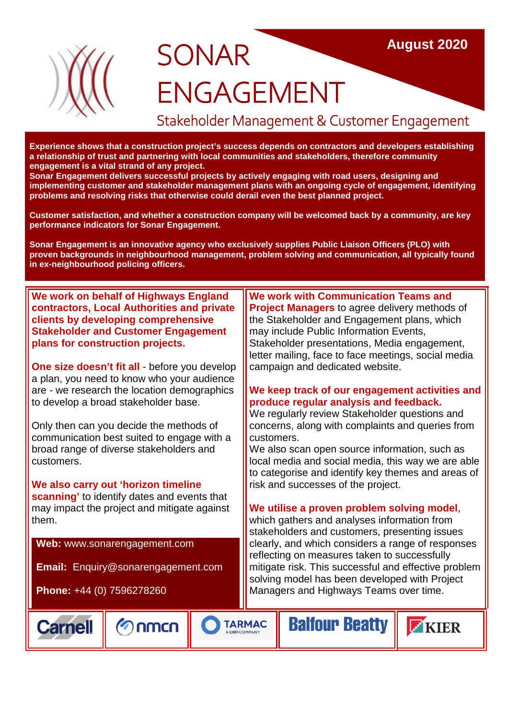

# **SONAR** ENGAGEMENT

# Stakeholder Management & Customer Engagement

**Experience shows that a construction project's success depends on contractors and developers establishing a relationship of trust and partnering with local communities and stakeholders, therefore community engagement is a vital strand of any project.**

**Sonar Engagement delivers successful projects by actively engaging with road users, designing and implementing customer and stakeholder management plans with an ongoing cycle of engagement, identifying problems and resolving risks that otherwise could derail even the best planned project.**

**Customer satisfaction, and whether a construction company will be welcomed back by a community, are key performance indicators for Sonar Engagement.**

**Sonar Engagement is an innovative agency who exclusively supplies Public Liaison Officers (PLO) with proven backgrounds in neighbourhood management, problem solving and communication, all typically found in ex-neighbourhood policing officers.**

**We work on behalf of Highways England contractors, Local Authorities and private clients by developing comprehensive Stakeholder and Customer Engagement plans for construction projects.**

**One size doesn't fit all** - before you develop a plan, you need to know who your audience are - we research the location demographics to develop a broad stakeholder base.

Only then can you decide the methods of communication best suited to engage with a broad range of diverse stakeholders and customers.

**We also carry out 'horizon timeline scanning'** to identify dates and events that may impact the project and mitigate against them.

**Web:** www.sonarengagement.com

**Email:** Enquiry@sonarengagement.com

**Phone:** +44 (0) 7596278260





**We work with Communication Teams and Project Managers** to agree delivery methods of the Stakeholder and Engagement plans, which may include Public Information Events, Stakeholder presentations, Media engagement, letter mailing, face to face meetings, social media campaign and dedicated website.

#### **We keep track of our engagement activities and produce regular analysis and feedback.**

We regularly review Stakeholder questions and concerns, along with complaints and queries from customers.

We also scan open source information, such as local media and social media, this way we are able to categorise and identify key themes and areas of risk and successes of the project.

#### **We utilise a proven problem solving model**,

**Balfour Beatty** 

which gathers and analyses information from stakeholders and customers, presenting issues clearly, and which considers a range of responses reflecting on measures taken to successfully mitigate risk. This successful and effective problem solving model has been developed with Project Managers and Highways Teams over time.

**TARMAC** A CRH COMPAN

KIER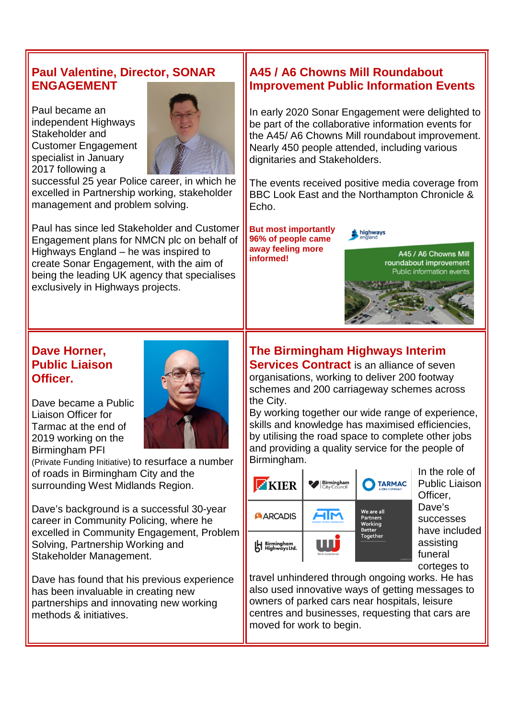#### **Paul Valentine, Director, SONAR ENGAGEMENT**

Paul became an independent Highways Stakeholder and Customer Engagement specialist in January 2017 following a



successful 25 year Police career, in which he excelled in Partnership working, stakeholder management and problem solving.

Paul has since led Stakeholder and Customer Engagement plans for NMCN plc on behalf of Highways England – he was inspired to create Sonar Engagement, with the aim of being the leading UK agency that specialises exclusively in Highways projects.

#### **A45 / A6 Chowns Mill Roundabout Improvement Public Information Events**

In early 2020 Sonar Engagement were delighted to be part of the collaborative information events for the A45/ A6 Chowns Mill roundabout improvement. Nearly 450 people attended, including various dignitaries and Stakeholders.

The events received positive media coverage from BBC Look East and the Northampton Chronicle & Echo.

**But most importantly 96% of people came away feeling more informed!**

highways

A45 / A6 Chowns Mill roundabout improvement Public information events

### **Dave Horner, Public Liaison Officer.**

Dave became a Public Liaison Officer for Tarmac at the end of 2019 working on the Birmingham PFI



(Private Funding Initiative) to resurface a number of roads in Birmingham City and the surrounding West Midlands Region.

Dave's background is a successful 30-year career in Community Policing, where he excelled in Community Engagement, Problem Solving, Partnership Working and Stakeholder Management.

Dave has found that his previous experience has been invaluable in creating new partnerships and innovating new working methods & initiatives.

#### **The Birmingham Highways Interim Services Contract** is an alliance of seven

organisations, working to deliver 200 footway schemes and 200 carriageway schemes across the City.

By working together our wide range of experience, skills and knowledge has maximised efficiencies, by utilising the road space to complete other jobs and providing a quality service for the people of Birmingham.



In the role of Public Liaison Officer, Dave's successes have included assisting funeral corteges to

travel unhindered through ongoing works. He has also used innovative ways of getting messages to owners of parked cars near hospitals, leisure centres and businesses, requesting that cars are moved for work to begin.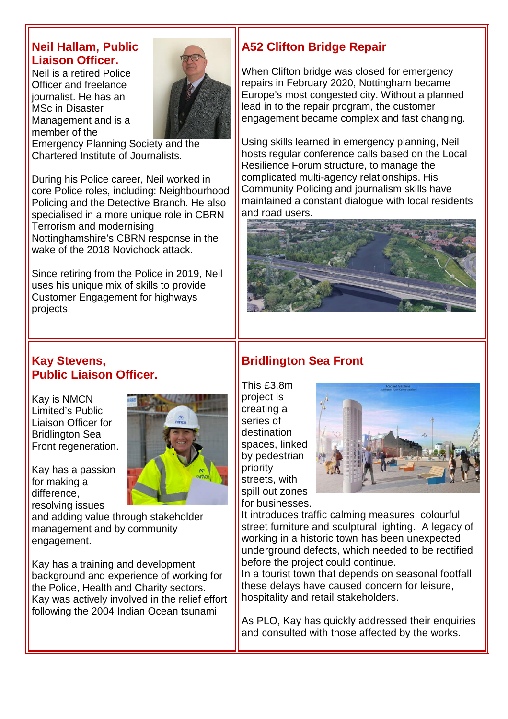#### **Neil Hallam, Public Liaison Officer.**

Neil is a retired Police Officer and freelance journalist. He has an MSc in Disaster Management and is a member of the



Emergency Planning Society and the Chartered Institute of Journalists.

During his Police career, Neil worked in core Police roles, including: Neighbourhood Policing and the Detective Branch. He also specialised in a more unique role in CBRN Terrorism and modernising Nottinghamshire's CBRN response in the wake of the 2018 Novichock attack.

Since retiring from the Police in 2019, Neil uses his unique mix of skills to provide Customer Engagement for highways projects.

# **A52 Clifton Bridge Repair**

When Clifton bridge was closed for emergency repairs in February 2020, Nottingham became Europe's most congested city. Without a planned lead in to the repair program, the customer engagement became complex and fast changing.

Using skills learned in emergency planning, Neil hosts regular conference calls based on the Local Resilience Forum structure, to manage the complicated multi-agency relationships. His Community Policing and journalism skills have maintained a constant dialogue with local residents and road users.



#### **Kay Stevens, Public Liaison Officer.**

Kay is NMCN Limited's Public Liaison Officer for Bridlington Sea Front regeneration.

Kay has a passion for making a difference, resolving issues



and adding value through stakeholder management and by community engagement.

Kay has a training and development background and experience of working for the Police, Health and Charity sectors. Kay was actively involved in the relief effort following the 2004 Indian Ocean tsunami

# **Bridlington Sea Front**

This £3.8m project is creating a series of destination spaces, linked by pedestrian priority streets, with spill out zones for businesses.



It introduces traffic calming measures, colourful street furniture and sculptural lighting. A legacy of working in a historic town has been unexpected underground defects, which needed to be rectified before the project could continue.

In a tourist town that depends on seasonal footfall these delays have caused concern for leisure, hospitality and retail stakeholders.

As PLO, Kay has quickly addressed their enquiries and consulted with those affected by the works.